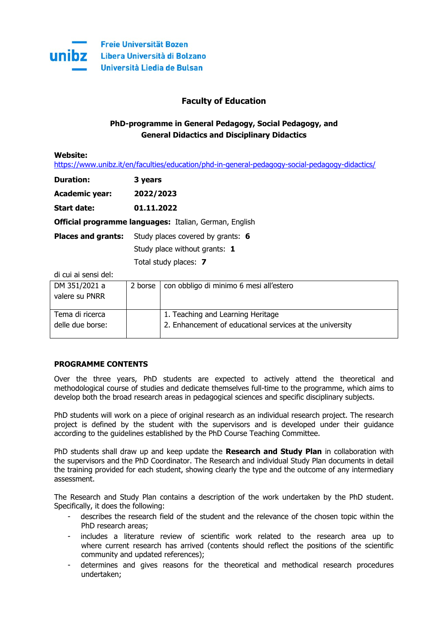

# **Faculty of Education**

# **PhD-programme in General Pedagogy, Social Pedagogy, and General Didactics and Disciplinary Didactics**

**Website:**

<https://www.unibz.it/en/faculties/education/phd-in-general-pedagogy-social-pedagogy-didactics/>

| <b>Duration:</b> | 3 years |
|------------------|---------|
|                  |         |

**Academic year: 2022/2023**

**Start date: 01.11.2022**

**Official programme languages:** Italian, German, English

**Places and grants:** Study places covered by grants: **6**

Study place without grants: **1**

Total study places: **7**

di cui ai sensi del:

| DM 351/2021 a<br>valere su PNRR     | 2 borse   con obbligo di minimo 6 mesi all'estero                                             |
|-------------------------------------|-----------------------------------------------------------------------------------------------|
| Tema di ricerca<br>delle due borse: | 1. Teaching and Learning Heritage<br>2. Enhancement of educational services at the university |

## **PROGRAMME CONTENTS**

Over the three years, PhD students are expected to actively attend the theoretical and methodological course of studies and dedicate themselves full-time to the programme, which aims to develop both the broad research areas in pedagogical sciences and specific disciplinary subjects.

PhD students will work on a piece of original research as an individual research project. The research project is defined by the student with the supervisors and is developed under their guidance according to the guidelines established by the PhD Course Teaching Committee.

PhD students shall draw up and keep update the **Research and Study Plan** in collaboration with the supervisors and the PhD Coordinator. The Research and individual Study Plan documents in detail the training provided for each student, showing clearly the type and the outcome of any intermediary assessment.

The Research and Study Plan contains a description of the work undertaken by the PhD student. Specifically, it does the following:

- describes the research field of the student and the relevance of the chosen topic within the PhD research areas;
- includes a literature review of scientific work related to the research area up to where current research has arrived (contents should reflect the positions of the scientific community and updated references);
- determines and gives reasons for the theoretical and methodical research procedures undertaken;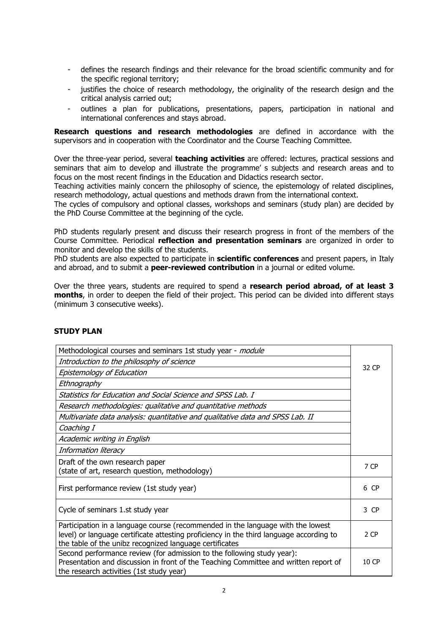- defines the research findings and their relevance for the broad scientific community and for the specific regional territory;
- justifies the choice of research methodology, the originality of the research design and the critical analysis carried out;
- outlines a plan for publications, presentations, papers, participation in national and international conferences and stays abroad.

**Research questions and research methodologies** are defined in accordance with the supervisors and in cooperation with the Coordinator and the Course Teaching Committee.

Over the three-year period, several **teaching activities** are offered: lectures, practical sessions and seminars that aim to develop and illustrate the programme' s subjects and research areas and to focus on the most recent findings in the Education and Didactics research sector.

Teaching activities mainly concern the philosophy of science, the epistemology of related disciplines, research methodology, actual questions and methods drawn from the international context.

The cycles of compulsory and optional classes, workshops and seminars (study plan) are decided by the PhD Course Committee at the beginning of the cycle.

PhD students regularly present and discuss their research progress in front of the members of the Course Committee. Periodical **reflection and presentation seminars** are organized in order to monitor and develop the skills of the students.

PhD students are also expected to participate in **scientific conferences** and present papers, in Italy and abroad, and to submit a **peer-reviewed contribution** in a journal or edited volume.

Over the three years, students are required to spend a **research period abroad, of at least 3 months**, in order to deepen the field of their project. This period can be divided into different stays (minimum 3 consecutive weeks).

| Methodological courses and seminars 1st study year - module                                                                                                                                                                           |       |
|---------------------------------------------------------------------------------------------------------------------------------------------------------------------------------------------------------------------------------------|-------|
| Introduction to the philosophy of science                                                                                                                                                                                             |       |
| Epistemology of Education                                                                                                                                                                                                             |       |
| Ethnography                                                                                                                                                                                                                           |       |
| Statistics for Education and Social Science and SPSS Lab. I                                                                                                                                                                           |       |
| Research methodologies: qualitative and quantitative methods                                                                                                                                                                          |       |
| Multivariate data analysis: quantitative and qualitative data and SPSS Lab. II                                                                                                                                                        |       |
| Coaching I                                                                                                                                                                                                                            |       |
| Academic writing in English                                                                                                                                                                                                           |       |
| Information literacy                                                                                                                                                                                                                  |       |
| Draft of the own research paper                                                                                                                                                                                                       | 7 CP  |
| (state of art, research question, methodology)                                                                                                                                                                                        |       |
| First performance review (1st study year)                                                                                                                                                                                             | 6 CP  |
| Cycle of seminars 1.st study year                                                                                                                                                                                                     | 3 CP  |
| Participation in a language course (recommended in the language with the lowest<br>level) or language certificate attesting proficiency in the third language according to<br>the table of the unibz recognized language certificates | 2 CP  |
| Second performance review (for admission to the following study year):<br>Presentation and discussion in front of the Teaching Committee and written report of<br>the research activities (1st study year)                            | 10 CP |

## **STUDY PLAN**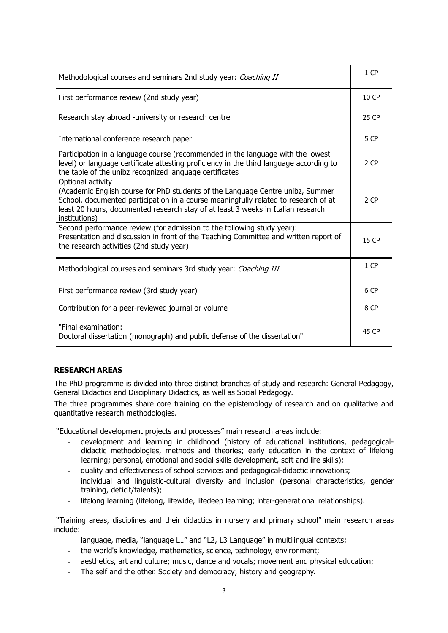| Methodological courses and seminars 2nd study year: Coaching II                                                                                                                                                                                                                                 |       |
|-------------------------------------------------------------------------------------------------------------------------------------------------------------------------------------------------------------------------------------------------------------------------------------------------|-------|
| First performance review (2nd study year)                                                                                                                                                                                                                                                       |       |
| Research stay abroad -university or research centre                                                                                                                                                                                                                                             |       |
| International conference research paper                                                                                                                                                                                                                                                         |       |
| Participation in a language course (recommended in the language with the lowest<br>level) or language certificate attesting proficiency in the third language according to<br>the table of the unibz recognized language certificates                                                           | 2 CP  |
| Optional activity<br>(Academic English course for PhD students of the Language Centre unibz, Summer<br>School, documented participation in a course meaningfully related to research of at<br>least 20 hours, documented research stay of at least 3 weeks in Italian research<br>institutions) | 2 CP  |
| Second performance review (for admission to the following study year):<br>Presentation and discussion in front of the Teaching Committee and written report of<br>the research activities (2nd study year)                                                                                      | 15 CP |
| Methodological courses and seminars 3rd study year: Coaching III                                                                                                                                                                                                                                | 1 CP  |
| First performance review (3rd study year)                                                                                                                                                                                                                                                       |       |
| Contribution for a peer-reviewed journal or volume                                                                                                                                                                                                                                              |       |
| "Final examination:<br>Doctoral dissertation (monograph) and public defense of the dissertation"                                                                                                                                                                                                |       |

## **RESEARCH AREAS**

The PhD programme is divided into three distinct branches of study and research: General Pedagogy, General Didactics and Disciplinary Didactics, as well as Social Pedagogy.

The three programmes share core training on the epistemology of research and on qualitative and quantitative research methodologies.

"Educational development projects and processes" main research areas include:

- development and learning in childhood (history of educational institutions, pedagogicaldidactic methodologies, methods and theories; early education in the context of lifelong learning; personal, emotional and social skills development, soft and life skills);
- quality and effectiveness of school services and pedagogical-didactic innovations;
- individual and linguistic-cultural diversity and inclusion (personal characteristics, gender training, deficit/talents);
- lifelong learning (lifelong, lifewide, lifedeep learning; inter-generational relationships).

"Training areas, disciplines and their didactics in nursery and primary school" main research areas include:

- language, media, "language L1" and "L2, L3 Language" in multilingual contexts;
- the world's knowledge, mathematics, science, technology, environment;
- aesthetics, art and culture; music, dance and vocals; movement and physical education;
- The self and the other. Society and democracy; history and geography.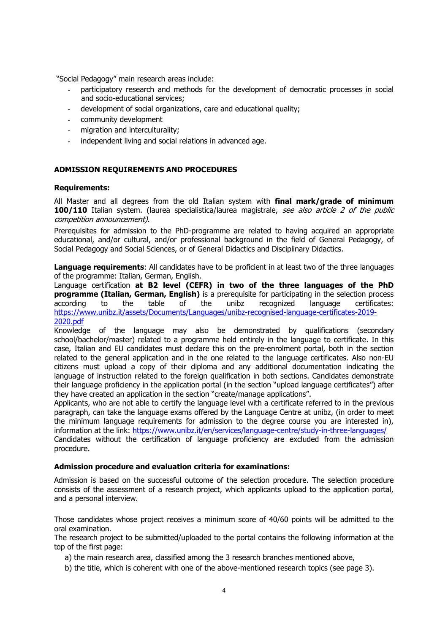"Social Pedagogy" main research areas include:

- participatory research and methods for the development of democratic processes in social and socio-educational services;
- development of social organizations, care and educational quality;
- community development
- migration and interculturality;
- independent living and social relations in advanced age.

## **ADMISSION REQUIREMENTS AND PROCEDURES**

#### **Requirements:**

All Master and all degrees from the old Italian system with **final mark/grade of minimum 100/110** Italian system. (laurea specialistica/laurea magistrale, see also article 2 of the public competition announcement).

Prerequisites for admission to the PhD-programme are related to having acquired an appropriate educational, and/or cultural, and/or professional background in the field of General Pedagogy, of Social Pedagogy and Social Sciences, or of General Didactics and Disciplinary Didactics.

**Language requirements:** All candidates have to be proficient in at least two of the three languages of the programme: Italian, German, English.

Language certification **at B2 level (CEFR) in two of the three languages of the PhD programme (Italian, German, English)** is a prerequisite for participating in the selection process according to the table of the unibz recognized language certificates: [https://www.unibz.it/assets/Documents/Languages/unibz-recognised-language-certificates-2019-](https://www.unibz.it/assets/Documents/Languages/unibz-recognised-language-certificates-2019-2020.pdf) [2020.pdf](https://www.unibz.it/assets/Documents/Languages/unibz-recognised-language-certificates-2019-2020.pdf)

Knowledge of the language may also be demonstrated by qualifications (secondary school/bachelor/master) related to a programme held entirely in the language to certificate. In this case, Italian and EU candidates must declare this on the pre-enrolment portal, both in the section related to the general application and in the one related to the language certificates. Also non-EU citizens must upload a copy of their diploma and any additional documentation indicating the language of instruction related to the foreign qualification in both sections. Candidates demonstrate their language proficiency in the application portal (in the section "upload language certificates") after they have created an application in the section "create/manage applications".

Applicants, who are not able to certify the language level with a certificate referred to in the previous paragraph, can take the language exams offered by the Language Centre at unibz, (in order to meet the minimum language requirements for admission to the degree course you are interested in), information at the link: <https://www.unibz.it/en/services/language-centre/study-in-three-languages/> Candidates without the certification of language proficiency are excluded from the admission procedure.

## **Admission procedure and evaluation criteria for examinations:**

Admission is based on the successful outcome of the selection procedure. The selection procedure consists of the assessment of a research project, which applicants upload to the application portal, and a personal interview.

Those candidates whose project receives a minimum score of 40/60 points will be admitted to the oral examination.

The research project to be submitted/uploaded to the portal contains the following information at the top of the first page:

- a) the main research area, classified among the 3 research branches mentioned above,
- b) the title, which is coherent with one of the above-mentioned research topics (see page 3).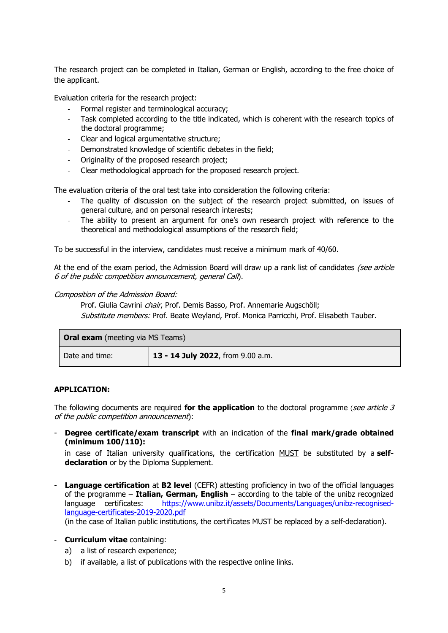The research project can be completed in Italian, German or English, according to the free choice of the applicant.

Evaluation criteria for the research project:

- Formal register and terminological accuracy;
- Task completed according to the title indicated, which is coherent with the research topics of the doctoral programme;
- Clear and logical argumentative structure;
- Demonstrated knowledge of scientific debates in the field;
- Originality of the proposed research project;
- Clear methodological approach for the proposed research project.

The evaluation criteria of the oral test take into consideration the following criteria:

- The quality of discussion on the subject of the research project submitted, on issues of general culture, and on personal research interests;
- The ability to present an argument for one's own research project with reference to the theoretical and methodological assumptions of the research field;

To be successful in the interview, candidates must receive a minimum mark of 40/60.

At the end of the exam period, the Admission Board will draw up a rank list of candidates (see article 6 of the public competition announcement, general Call).

#### Composition of the Admission Board:

Prof. Giulia Cavrini *chair*, Prof. Demis Basso, Prof. Annemarie Augschöll; Substitute members: Prof. Beate Weyland, Prof. Monica Parricchi, Prof. Elisabeth Tauber.

| <b>Oral exam</b> (meeting via MS Teams) |                                   |  |
|-----------------------------------------|-----------------------------------|--|
| Date and time:                          | 13 - 14 July 2022, from 9.00 a.m. |  |

## **APPLICATION:**

The following documents are required **for the application** to the doctoral programme (see article 3 of the public competition announcement):

- **Degree certificate/exam transcript** with an indication of the **final mark/grade obtained (minimum 100/110):**

in case of Italian university qualifications, the certification MUST be substituted by a **selfdeclaration** or by the Diploma Supplement.

**Language certification** at **B2 level** (CEFR) attesting proficiency in two of the official languages of the programme – **Italian, German, English** – according to the table of the unibz recognized language certificates: [https://www.unibz.it/assets/Documents/Languages/unibz-recognised](https://www.unibz.it/assets/Documents/Languages/unibz-recognised-language-certificates-2019-2020.pdf)[language-certificates-2019-2020.pdf](https://www.unibz.it/assets/Documents/Languages/unibz-recognised-language-certificates-2019-2020.pdf)

(in the case of Italian public institutions, the certificates MUST be replaced by a self-declaration).

## - **Curriculum vitae** containing:

- a) a list of research experience;
- b) if available, a list of publications with the respective online links.